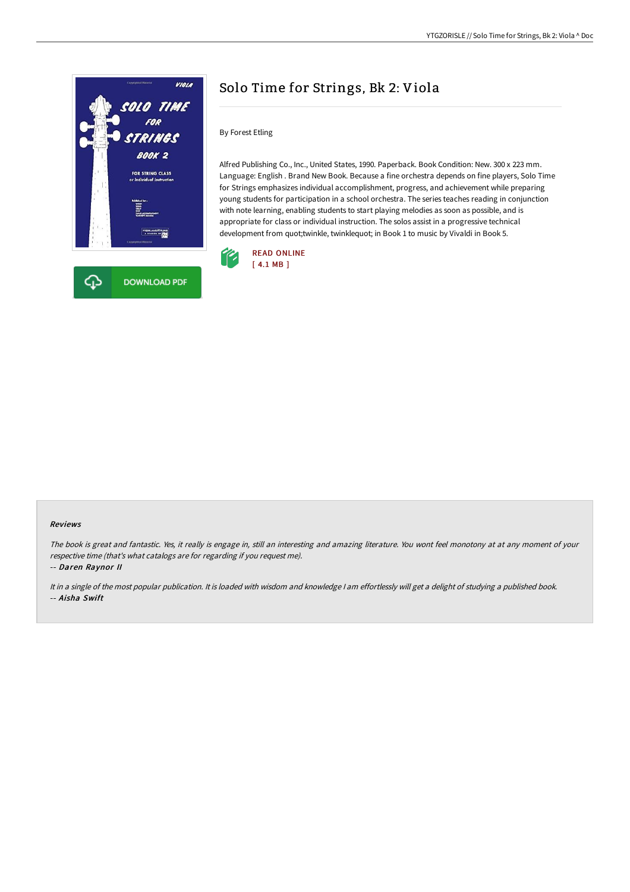

# Solo Time for Strings, Bk 2: Viola

By Forest Etling

Alfred Publishing Co., Inc., United States, 1990. Paperback. Book Condition: New. 300 x 223 mm. Language: English . Brand New Book. Because a fine orchestra depends on fine players, Solo Time for Strings emphasizes individual accomplishment, progress, and achievement while preparing young students for participation in a school orchestra. The series teaches reading in conjunction with note learning, enabling students to start playing melodies as soon as possible, and is appropriate for class or individual instruction. The solos assist in a progressive technical development from quot;twinkle, twinklequot; in Book 1 to music by Vivaldi in Book 5.



#### Reviews

The book is great and fantastic. Yes, it really is engage in, still an interesting and amazing literature. You wont feel monotony at at any moment of your respective time (that's what catalogs are for regarding if you request me).

-- Daren Raynor II

It in <sup>a</sup> single of the most popular publication. It is loaded with wisdom and knowledge <sup>I</sup> am effortlessly will get <sup>a</sup> delight of studying <sup>a</sup> published book. -- Aisha Swift